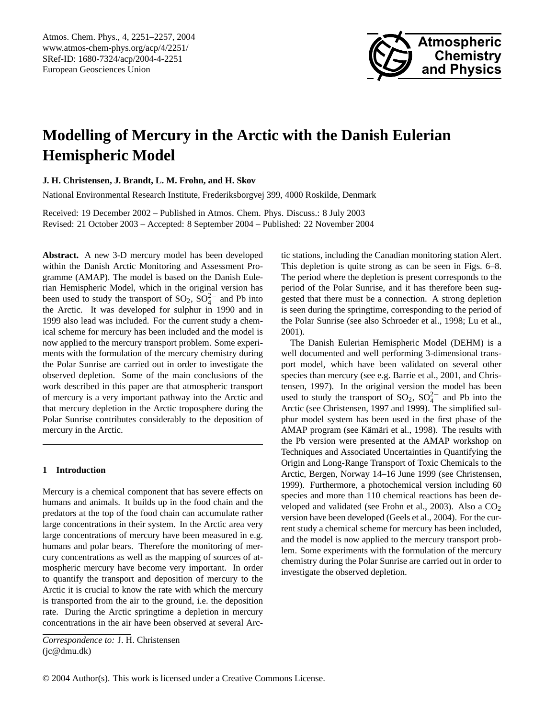

# **Modelling of Mercury in the Arctic with the Danish Eulerian Hemispheric Model**

**J. H. Christensen, J. Brandt, L. M. Frohn, and H. Skov**

National Environmental Research Institute, Frederiksborgvej 399, 4000 Roskilde, Denmark

Received: 19 December 2002 – Published in Atmos. Chem. Phys. Discuss.: 8 July 2003 Revised: 21 October 2003 – Accepted: 8 September 2004 – Published: 22 November 2004

**Abstract.** A new 3-D mercury model has been developed within the Danish Arctic Monitoring and Assessment Programme (AMAP). The model is based on the Danish Eulerian Hemispheric Model, which in the original version has been used to study the transport of  $SO_2$ ,  $SO_4^{2-}$  and Pb into the Arctic. It was developed for sulphur in 1990 and in 1999 also lead was included. For the current study a chemical scheme for mercury has been included and the model is now applied to the mercury transport problem. Some experiments with the formulation of the mercury chemistry during the Polar Sunrise are carried out in order to investigate the observed depletion. Some of the main conclusions of the work described in this paper are that atmospheric transport of mercury is a very important pathway into the Arctic and that mercury depletion in the Arctic troposphere during the Polar Sunrise contributes considerably to the deposition of mercury in the Arctic.

## **1 Introduction**

Mercury is a chemical component that has severe effects on humans and animals. It builds up in the food chain and the predators at the top of the food chain can accumulate rather large concentrations in their system. In the Arctic area very large concentrations of mercury have been measured in e.g. humans and polar bears. Therefore the monitoring of mercury concentrations as well as the mapping of sources of atmospheric mercury have become very important. In order to quantify the transport and deposition of mercury to the Arctic it is crucial to know the rate with which the mercury is transported from the air to the ground, i.e. the deposition rate. During the Arctic springtime a depletion in mercury concentrations in the air have been observed at several Arctic stations, including the Canadian monitoring station Alert. This depletion is quite strong as can be seen in Figs. 6–8. The period where the depletion is present corresponds to the period of the Polar Sunrise, and it has therefore been suggested that there must be a connection. A strong depletion is seen during the springtime, corresponding to the period of the Polar Sunrise (see also Schroeder et al., 1998; Lu et al., 2001).

The Danish Eulerian Hemispheric Model (DEHM) is a well documented and well performing 3-dimensional transport model, which have been validated on several other species than mercury (see e.g. Barrie et al., 2001, and Christensen, 1997). In the original version the model has been used to study the transport of  $SO_2$ ,  $SO_4^{2-}$  and Pb into the Arctic (see Christensen, 1997 and 1999). The simplified sulphur model system has been used in the first phase of the AMAP program (see Kämäri et al., 1998). The results with the Pb version were presented at the AMAP workshop on Techniques and Associated Uncertainties in Quantifying the Origin and Long-Range Transport of Toxic Chemicals to the Arctic, Bergen, Norway 14–16 June 1999 (see Christensen, 1999). Furthermore, a photochemical version including 60 species and more than 110 chemical reactions has been developed and validated (see Frohn et al., 2003). Also a  $CO<sub>2</sub>$ version have been developed (Geels et al., 2004). For the current study a chemical scheme for mercury has been included, and the model is now applied to the mercury transport problem. Some experiments with the formulation of the mercury chemistry during the Polar Sunrise are carried out in order to investigate the observed depletion.

<span id="page-0-0"></span>*Correspondence to:* J. H. Christensen (jc@dmu.dk)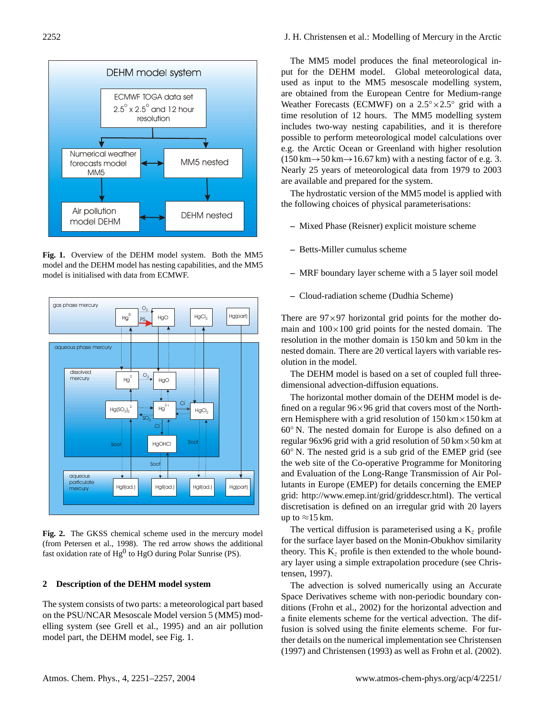

**Fig. 1.** Overview of the DEHM model system. Both the MM5 model and the DEHM model has nesting capabilities, and the MM5 model is initialised with data from ECMWF.



**Fig. 2.** The GKSS chemical scheme used in the mercury model (from Petersen et al., 1998). The red arrow shows the additional fast oxidation rate of  $Hg^0$  to  $HgO$  during Polar Sunrise (PS).

## **2 Description of the DEHM model system**

The system consists of two parts: a meteorological part based on the PSU/NCAR Mesoscale Model version 5 (MM5) modelling system (see Grell et al., 1995) and an air pollution model part, the DEHM model, see Fig. 1.

The MM5 model produces the final meteorological input for the DEHM model. Global meteorological data, used as input to the MM5 mesoscale modelling system, are obtained from the European Centre for Medium-range Weather Forecasts (ECMWF) on a  $2.5^{\circ} \times 2.5^{\circ}$  grid with a time resolution of 12 hours. The MM5 modelling system includes two-way nesting capabilities, and it is therefore possible to perform meteorological model calculations over  $(150 \text{ km} \rightarrow 50 \text{ km} \rightarrow 16.67 \text{ km})$  with a nesting factor of e.g. 3. Nearly 25 years of meteorological data from 1979 to 2003 are available and prepared for the system.

The hydrostatic version of the MM5 model is applied with the following choices of physical parameterisations:

- **–** Mixed Phase (Reisner) explicit moisture scheme
- **–** Betts-Miller cumulus scheme
- **–** MRF boundary layer scheme with a 5 layer soil model
- **–** Cloud-radiation scheme (Dudhia Scheme)

There are  $97 \times 97$  horizontal grid points for the mother domain and  $100\times100$  grid points for the nested domain. The resolution in the mother domain is 150 km and 50 km in the nested domain. There are 20 vertical layers with variable resolution in the model.

The DEHM model is based on a set of coupled full threedimensional advection-diffusion equations.

60<sup>°</sup> N. The nested grid is a sub grid of the EMEP grid (see The horizontal mother domain of the DEHM model is defined on a regular  $96 \times 96$  grid that covers most of the Northern Hemisphere with a grid resolution of  $150 \text{ km} \times 150 \text{ km}$  at 60◦ N. The nested domain for Europe is also defined on a regular 96x96 grid with a grid resolution of  $50 \text{ km} \times 50 \text{ km}$  at the web site of the Co-operative Programme for Monitoring and Evaluation of the Long-Range Transmission of Air Pollutants in Europe (EMEP) for details concerning the EMEP grid: [http://www.emep.int/grid/griddescr.html\)](http://www.emep.int/grid/griddescr.html). The vertical discretisation is defined on an irregular grid with 20 layers up to  $\approx$ 15 km.

The vertical diffusion is parameterised using a  $K<sub>z</sub>$  profile for the surface layer based on the Monin-Obukhov similarity theory. This  $K<sub>z</sub>$  profile is then extended to the whole boundary layer using a simple extrapolation procedure (see Christensen, 1997).

The advection is solved numerically using an Accurate Space Derivatives scheme with non-periodic boundary conditions (Frohn et al., 2002) for the horizontal advection and a finite elements scheme for the vertical advection. The diffusion is solved using the finite elements scheme. For further details on the numerical implementation see Christensen (1997) and Christensen (1993) as well as Frohn et al. (2002).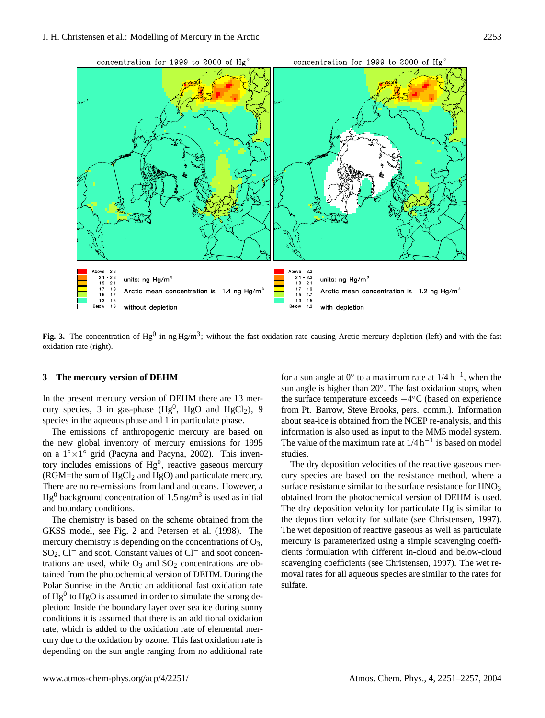

Fig. 3. The concentration of Hg<sup>0</sup> in ng Hg/m<sup>3</sup>; without the fast oxidation rate causing Arctic mercury depletion (left) and with the fast oxidation rate (right).

#### **3 The mercury version of DEHM**

In the present mercury version of DEHM there are 13 mercury species, 3 in gas-phase  $(Hg^0, HgO$  and  $HgCl_2$ ), 9 species in the aqueous phase and 1 in particulate phase.

The emissions of anthropogenic mercury are based on the new global inventory of mercury emissions for 1995 on a 1◦×1 ◦ grid (Pacyna and Pacyna, 2002). This inventory includes emissions of  $Hg^0$ , reactive gaseous mercury (RGM=the sum of  $HgCl<sub>2</sub>$  and  $HgO$ ) and particulate mercury. There are no re-emissions from land and oceans. However, a  $Hg^0$  background concentration of 1.5 ng/m<sup>3</sup> is used as initial and boundary conditions.

The chemistry is based on the scheme obtained from the GKSS model, see Fig. 2 and Petersen et al. (1998). The mercury chemistry is depending on the concentrations of  $O_3$ , SO<sub>2</sub>, Cl<sup>−</sup> and soot. Constant values of Cl<sup>−</sup> and soot concentrations are used, while  $O_3$  and  $SO_2$  concentrations are obtained from the photochemical version of DEHM. During the Polar Sunrise in the Arctic an additional fast oxidation rate of  $Hg^0$  to  $HgO$  is assumed in order to simulate the strong depletion: Inside the boundary layer over sea ice during sunny conditions it is assumed that there is an additional oxidation rate, which is added to the oxidation rate of elemental mercury due to the oxidation by ozone. This fast oxidation rate is depending on the sun angle ranging from no additional rate

for a sun angle at  $0^{\circ}$  to a maximum rate at  $1/4 h^{-1}$ , when the sun angle is higher than 20°. The fast oxidation stops, when the surface temperature exceeds −4 ◦C (based on experience from Pt. Barrow, Steve Brooks, pers. comm.). Information about sea-ice is obtained from the NCEP re-analysis, and this information is also used as input to the MM5 model system. The value of the maximum rate at  $1/4 h^{-1}$  is based on model studies.

The dry deposition velocities of the reactive gaseous mercury species are based on the resistance method, where a surface resistance similar to the surface resistance for HNO<sub>3</sub> obtained from the photochemical version of DEHM is used. The dry deposition velocity for particulate Hg is similar to the deposition velocity for sulfate (see Christensen, 1997). The wet deposition of reactive gaseous as well as particulate mercury is parameterized using a simple scavenging coefficients formulation with different in-cloud and below-cloud scavenging coefficients (see Christensen, 1997). The wet removal rates for all aqueous species are similar to the rates for sulfate.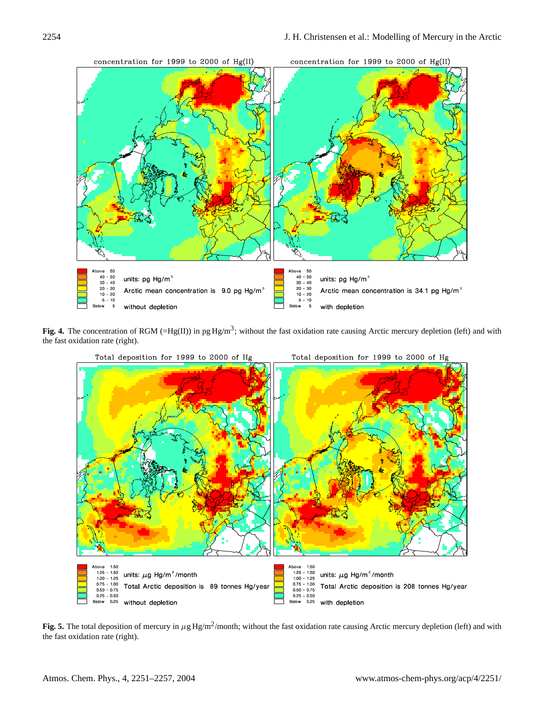

Fig. 4. The concentration of RGM (=Hg(II)) in pg Hg/m<sup>3</sup>; without the fast oxidation rate causing Arctic mercury depletion (left) and with the fast oxidation rate (right).



Fig. 5. The total deposition of mercury in  $\mu$ g Hg/m<sup>2</sup>/month; without the fast oxidation rate causing Arctic mercury depletion (left) and with the fast oxidation rate (right).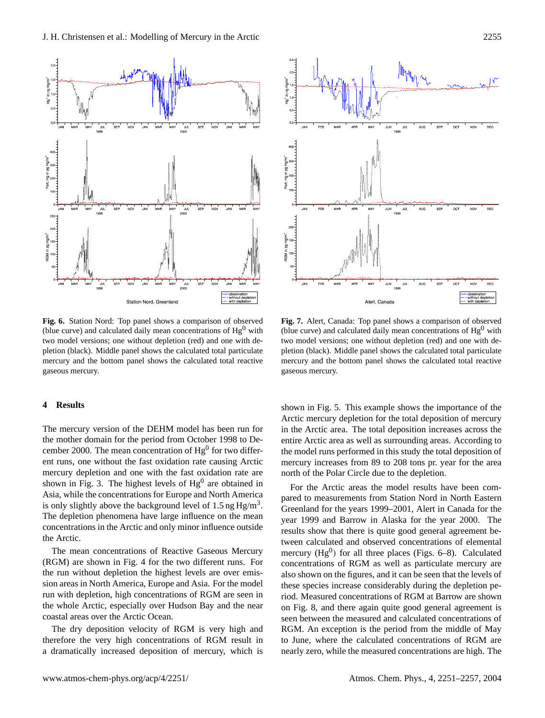



**Fig. 6.** Station Nord: Top panel shows a comparison of observed (blue curve) and calculated daily mean concentrations of  $Hg<sup>0</sup>$  with two model versions; one without depletion (red) and one with depletion (black). Middle panel shows the calculated total particulate mercury and the bottom panel shows the calculated total reactive gaseous mercury.

# **4 Results**

The mercury version of the DEHM model has been run for the mother domain for the period from October 1998 to December 2000. The mean concentration of  $Hg^0$  for two different runs, one without the fast oxidation rate causing Arctic mercury depletion and one with the fast oxidation rate are shown in Fig. 3. The highest levels of  $Hg<sup>0</sup>$  are obtained in Asia, while the concentrations for Europe and North America is only slightly above the background level of 1.5 ng  $Hg/m<sup>3</sup>$ . The depletion phenomena have large influence on the mean concentrations in the Arctic and only minor influence outside the Arctic.

The mean concentrations of Reactive Gaseous Mercury (RGM) are shown in Fig. 4 for the two different runs. For the run without depletion the highest levels are over emission areas in North America, Europe and Asia. For the model run with depletion, high concentrations of RGM are seen in the whole Arctic, especially over Hudson Bay and the near coastal areas over the Arctic Ocean.

The dry deposition velocity of RGM is very high and therefore the very high concentrations of RGM result in a dramatically increased deposition of mercury, which is

**Fig. 7.** Alert, Canada: Top panel shows a comparison of observed (blue curve) and calculated daily mean concentrations of  $Hg<sup>0</sup>$  with two model versions; one without depletion (red) and one with depletion (black). Middle panel shows the calculated total particulate mercury and the bottom panel shows the calculated total reactive gaseous mercury.

shown in Fig. 5. This example shows the importance of the Arctic mercury depletion for the total deposition of mercury in the Arctic area. The total deposition increases across the entire Arctic area as well as surrounding areas. According to the model runs performed in this study the total deposition of mercury increases from 89 to 208 tons pr. year for the area north of the Polar Circle due to the depletion.

For the Arctic areas the model results have been compared to measurements from Station Nord in North Eastern Greenland for the years 1999–2001, Alert in Canada for the year 1999 and Barrow in Alaska for the year 2000. The results show that there is quite good general agreement between calculated and observed concentrations of elemental mercury  $(Hg^0)$  for all three places (Figs. 6–8). Calculated concentrations of RGM as well as particulate mercury are also shown on the figures, and it can be seen that the levels of these species increase considerably during the depletion period. Measured concentrations of RGM at Barrow are shown on Fig. 8, and there again quite good general agreement is seen between the measured and calculated concentrations of RGM. An exception is the period from the middle of May to June, where the calculated concentrations of RGM are nearly zero, while the measured concentrations are high. The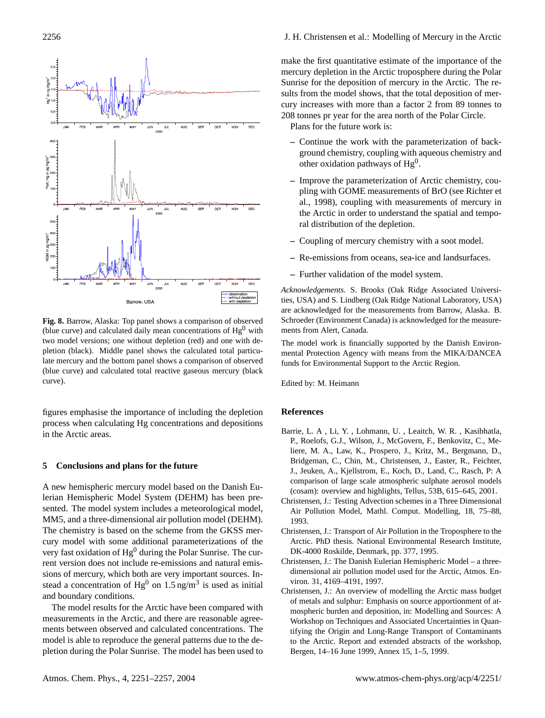

**Fig. 8.** Barrow, Alaska: Top panel shows a comparison of observed (blue curve) and calculated daily mean concentrations of  $Hg<sup>0</sup>$  with two model versions; one without depletion (red) and one with depletion (black). Middle panel shows the calculated total particulate mercury and the bottom panel shows a comparison of observed (blue curve) and calculated total reactive gaseous mercury (black curve).

figures emphasise the importance of including the depletion process when calculating Hg concentrations and depositions in the Arctic areas.

## **5 Conclusions and plans for the future**

A new hemispheric mercury model based on the Danish Eulerian Hemispheric Model System (DEHM) has been presented. The model system includes a meteorological model, MM5, and a three-dimensional air pollution model (DEHM). The chemistry is based on the scheme from the GKSS mercury model with some additional parameterizations of the very fast oxidation of  $Hg<sup>0</sup>$  during the Polar Sunrise. The current version does not include re-emissions and natural emissions of mercury, which both are very important sources. Instead a concentration of Hg<sup>0</sup> on 1.5 ng/m<sup>3</sup> is used as initial and boundary conditions.

The model results for the Arctic have been compared with measurements in the Arctic, and there are reasonable agreements between observed and calculated concentrations. The model is able to reproduce the general patterns due to the depletion during the Polar Sunrise. The model has been used to

make the first quantitative estimate of the importance of the mercury depletion in the Arctic troposphere during the Polar Sunrise for the deposition of mercury in the Arctic. The results from the model shows, that the total deposition of mercury increases with more than a factor 2 from 89 tonnes to 208 tonnes pr year for the area north of the Polar Circle.

Plans for the future work is:

- **–** Continue the work with the parameterization of background chemistry, coupling with aqueous chemistry and other oxidation pathways of  $Hg<sup>0</sup>$ .
- **–** Improve the parameterization of Arctic chemistry, coupling with GOME measurements of BrO (see Richter et al., 1998), coupling with measurements of mercury in the Arctic in order to understand the spatial and temporal distribution of the depletion.
- **–** Coupling of mercury chemistry with a soot model.
- **–** Re-emissions from oceans, sea-ice and landsurfaces.
- **–** Further validation of the model system.

*Acknowledgements.* S. Brooks (Oak Ridge Associated Universities, USA) and S. Lindberg (Oak Ridge National Laboratory, USA) are acknowledged for the measurements from Barrow, Alaska. B. Schroeder (Environment Canada) is acknowledged for the measurements from Alert, Canada.

The model work is financially supported by the Danish Environmental Protection Agency with means from the MIKA/DANCEA funds for Environmental Support to the Arctic Region.

Edited by: M. Heimann

## **References**

- Barrie, L. A , Li, Y. , Lohmann, U. , Leaitch, W. R. , Kasibhatla, P., Roelofs, G.J., Wilson, J., McGovern, F., Benkovitz, C., Meliere, M. A., Law, K., Prospero, J., Kritz, M., Bergmann, D., Bridgeman, C., Chin, M., Christensen, J., Easter, R., Feichter, J., Jeuken, A., Kjellstrom, E., Koch, D., Land, C., Rasch, P: A comparison of large scale atmospheric sulphate aerosol models (cosam): overview and highlights, Tellus, 53B, 615–645, 2001.
- Christensen, J.: Testing Advection schemes in a Three Dimensional Air Pollution Model, Mathl. Comput. Modelling, 18, 75–88, 1993.
- Christensen, J.: Transport of Air Pollution in the Troposphere to the Arctic. PhD thesis. National Environmental Research Institute, DK-4000 Roskilde, Denmark, pp. 377, 1995.
- Christensen, J.: The Danish Eulerian Hemispheric Model a threedimensional air pollution model used for the Arctic, Atmos. Environ. 31, 4169–4191, 1997.
- Christensen, J.: An overview of modelling the Arctic mass budget of metals and sulphur: Emphasis on source apportionment of atmospheric burden and deposition, in: Modelling and Sources: A Workshop on Techniques and Associated Uncertainties in Quantifying the Origin and Long-Range Transport of Contaminants to the Arctic. Report and extended abstracts of the workshop, Bergen, 14–16 June 1999, Annex 15, 1–5, 1999.